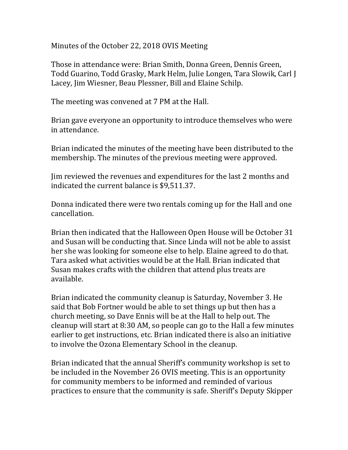Minutes of the October 22, 2018 OVIS Meeting

Those in attendance were: Brian Smith, Donna Green, Dennis Green, Todd Guarino, Todd Grasky, Mark Helm, Julie Longen, Tara Slowik, Carl J Lacey, Jim Wiesner, Beau Plessner, Bill and Elaine Schilp.

The meeting was convened at 7 PM at the Hall.

Brian gave everyone an opportunity to introduce themselves who were in attendance.

Brian indicated the minutes of the meeting have been distributed to the membership. The minutes of the previous meeting were approved.

Jim reviewed the revenues and expenditures for the last 2 months and indicated the current balance is \$9,511.37.

Donna indicated there were two rentals coming up for the Hall and one cancellation.

Brian then indicated that the Halloween Open House will be October 31 and Susan will be conducting that. Since Linda will not be able to assist her she was looking for someone else to help. Elaine agreed to do that. Tara asked what activities would be at the Hall. Brian indicated that Susan makes crafts with the children that attend plus treats are available.

Brian indicated the community cleanup is Saturday, November 3. He said that Bob Fortner would be able to set things up but then has a church meeting, so Dave Ennis will be at the Hall to help out. The cleanup will start at 8:30 AM, so people can go to the Hall a few minutes earlier to get instructions, etc. Brian indicated there is also an initiative to involve the Ozona Elementary School in the cleanup.

Brian indicated that the annual Sheriff's community workshop is set to be included in the November 26 OVIS meeting. This is an opportunity for community members to be informed and reminded of various practices to ensure that the community is safe. Sheriff's Deputy Skipper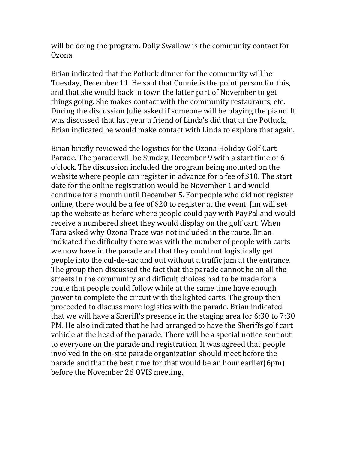will be doing the program. Dolly Swallow is the community contact for Ozona.

Brian indicated that the Potluck dinner for the community will be Tuesday, December 11. He said that Connie is the point person for this, and that she would back in town the latter part of November to get things going. She makes contact with the community restaurants, etc. During the discussion Julie asked if someone will be playing the piano. It was discussed that last year a friend of Linda's did that at the Potluck. Brian indicated he would make contact with Linda to explore that again.

Brian briefly reviewed the logistics for the Ozona Holiday Golf Cart Parade. The parade will be Sunday, December 9 with a start time of 6 o'clock. The discussion included the program being mounted on the website where people can register in advance for a fee of \$10. The start date for the online registration would be November 1 and would continue for a month until December 5. For people who did not register online, there would be a fee of \$20 to register at the event. Jim will set up the website as before where people could pay with PayPal and would receive a numbered sheet they would display on the golf cart. When Tara asked why Ozona Trace was not included in the route, Brian indicated the difficulty there was with the number of people with carts we now have in the parade and that they could not logistically get people into the cul-de-sac and out without a traffic jam at the entrance. The group then discussed the fact that the parade cannot be on all the streets in the community and difficult choices had to be made for a route that people could follow while at the same time have enough power to complete the circuit with the lighted carts. The group then proceeded to discuss more logistics with the parade. Brian indicated that we will have a Sheriff's presence in the staging area for 6:30 to 7:30 PM. He also indicated that he had arranged to have the Sheriffs golf cart vehicle at the head of the parade. There will be a special notice sent out to everyone on the parade and registration. It was agreed that people involved in the on-site parade organization should meet before the parade and that the best time for that would be an hour earlier(6pm) before the November 26 OVIS meeting.